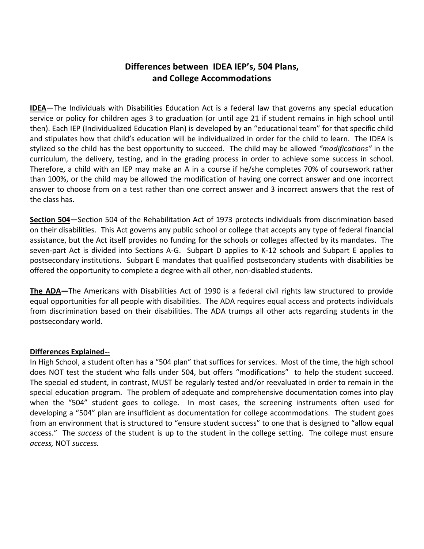# **Differences between IDEA IEP's, 504 Plans, and College Accommodations**

**IDEA**—The Individuals with Disabilities Education Act is a federal law that governs any special education service or policy for children ages 3 to graduation (or until age 21 if student remains in high school until then). Each IEP (Individualized Education Plan) is developed by an "educational team" for that specific child and stipulates how that child's education will be individualized in order for the child to learn. The IDEA is stylized so the child has the best opportunity to succeed. The child may be allowed *"modifications"* in the curriculum, the delivery, testing, and in the grading process in order to achieve some success in school. Therefore, a child with an IEP may make an A in a course if he/she completes 70% of coursework rather than 100%, or the child may be allowed the modification of having one correct answer and one incorrect answer to choose from on a test rather than one correct answer and 3 incorrect answers that the rest of the class has.

**Section 504—**Section 504 of the Rehabilitation Act of 1973 protects individuals from discrimination based on their disabilities. This Act governs any public school or college that accepts any type of federal financial assistance, but the Act itself provides no funding for the schools or colleges affected by its mandates. The seven-part Act is divided into Sections A-G. Subpart D applies to K-12 schools and Subpart E applies to postsecondary institutions. Subpart E mandates that qualified postsecondary students with disabilities be offered the opportunity to complete a degree with all other, non-disabled students.

**The ADA—**The Americans with Disabilities Act of 1990 is a federal civil rights law structured to provide equal opportunities for all people with disabilities. The ADA requires equal access and protects individuals from discrimination based on their disabilities. The ADA trumps all other acts regarding students in the postsecondary world.

#### **Differences Explained--**

In High School, a student often has a "504 plan" that suffices for services. Most of the time, the high school does NOT test the student who falls under 504, but offers "modifications" to help the student succeed. The special ed student, in contrast, MUST be regularly tested and/or reevaluated in order to remain in the special education program. The problem of adequate and comprehensive documentation comes into play when the "504" student goes to college. In most cases, the screening instruments often used for developing a "504" plan are insufficient as documentation for college accommodations. The student goes from an environment that is structured to "ensure student success" to one that is designed to "allow equal access." The *success* of the student is up to the student in the college setting. The college must ensure *access,* NOT *success.*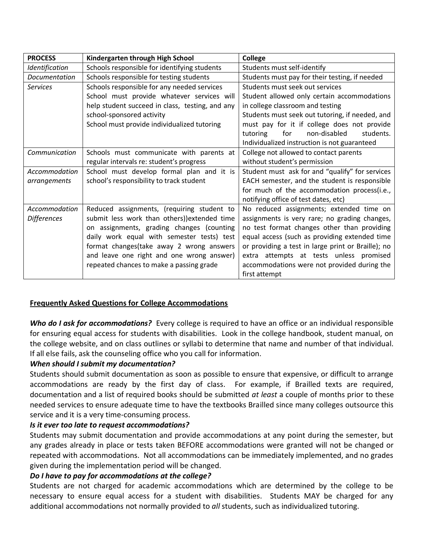| <b>PROCESS</b>     | Kindergarten through High School                | <b>College</b>                                     |
|--------------------|-------------------------------------------------|----------------------------------------------------|
| Identification     | Schools responsible for identifying students    | Students must self-identify                        |
| Documentation      | Schools responsible for testing students        | Students must pay for their testing, if needed     |
| <b>Services</b>    | Schools responsible for any needed services     | Students must seek out services                    |
|                    | School must provide whatever services will      | Student allowed only certain accommodations        |
|                    | help student succeed in class, testing, and any | in college classroom and testing                   |
|                    | school-sponsored activity                       | Students must seek out tutoring, if needed, and    |
|                    | School must provide individualized tutoring     | must pay for it if college does not provide        |
|                    |                                                 | non-disabled<br>students.<br>tutoring<br>for       |
|                    |                                                 | Individualized instruction is not guaranteed       |
| Communication      | Schools must communicate with parents at        | College not allowed to contact parents             |
|                    | regular intervals re: student's progress        | without student's permission                       |
| Accommodation      | School must develop formal plan and it is       | Student must ask for and "qualify" for services    |
| arrangements       | school's responsibility to track student        | EACH semester, and the student is responsible      |
|                    |                                                 | for much of the accommodation process(i.e.,        |
|                    |                                                 | notifying office of test dates, etc)               |
| Accommodation      | Reduced assignments, (requiring student to      | No reduced assignments; extended time on           |
| <b>Differences</b> | submit less work than others)) extended time    | assignments is very rare; no grading changes,      |
|                    | on assignments, grading changes (counting       | no test format changes other than providing        |
|                    | daily work equal with semester tests) test      | equal access (such as providing extended time      |
|                    | format changes(take away 2 wrong answers        | or providing a test in large print or Braille); no |
|                    | and leave one right and one wrong answer)       | extra attempts at tests unless promised            |
|                    | repeated chances to make a passing grade        | accommodations were not provided during the        |
|                    |                                                 | first attempt                                      |

# **Frequently Asked Questions for College Accommodations**

**Who do I ask for accommodations?** Every college is required to have an office or an individual responsible for ensuring equal access for students with disabilities. Look in the college handbook, student manual, on the college website, and on class outlines or syllabi to determine that name and number of that individual. If all else fails, ask the counseling office who you call for information.

# *When should I submit my documentation?*

Students should submit documentation as soon as possible to ensure that expensive, or difficult to arrange accommodations are ready by the first day of class. For example, if Brailled texts are required, documentation and a list of required books should be submitted *at least* a couple of months prior to these needed services to ensure adequate time to have the textbooks Brailled since many colleges outsource this service and it is a very time-consuming process.

# *Is it ever too late to request accommodations?*

Students may submit documentation and provide accommodations at any point during the semester, but any grades already in place or tests taken BEFORE accommodations were granted will not be changed or repeated with accommodations. Not all accommodations can be immediately implemented, and no grades given during the implementation period will be changed.

# *Do I have to pay for accommodations at the college?*

Students are not charged for academic accommodations which are determined by the college to be necessary to ensure equal access for a student with disabilities. Students MAY be charged for any additional accommodations not normally provided to *all* students, such as individualized tutoring.